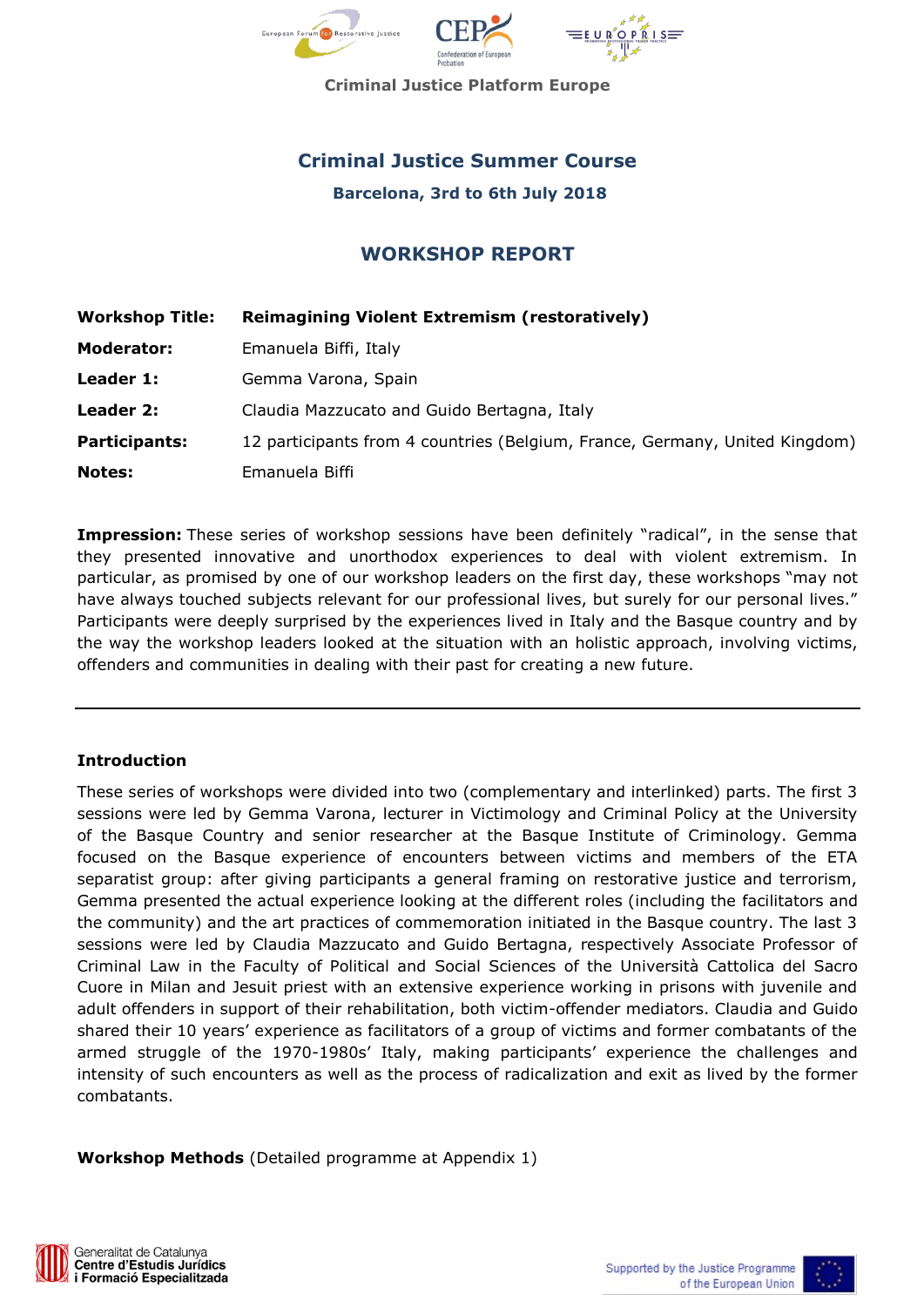

**Criminal Justice Platform Europe**

# **Criminal Justice Summer Course**

**Barcelona, 3rd to 6th July 2018**

# **WORKSHOP REPORT**

| <b>Workshop Title:</b> | <b>Reimagining Violent Extremism (restoratively)</b>                        |
|------------------------|-----------------------------------------------------------------------------|
| <b>Moderator:</b>      | Emanuela Biffi, Italy                                                       |
| Leader 1:              | Gemma Varona, Spain                                                         |
| Leader 2:              | Claudia Mazzucato and Guido Bertagna, Italy                                 |
| <b>Participants:</b>   | 12 participants from 4 countries (Belgium, France, Germany, United Kingdom) |
| <b>Notes:</b>          | Emanuela Biffi                                                              |

**Impression:** These series of workshop sessions have been definitely "radical", in the sense that they presented innovative and unorthodox experiences to deal with violent extremism. In particular, as promised by one of our workshop leaders on the first day, these workshops "may not have always touched subjects relevant for our professional lives, but surely for our personal lives." Participants were deeply surprised by the experiences lived in Italy and the Basque country and by the way the workshop leaders looked at the situation with an holistic approach, involving victims, offenders and communities in dealing with their past for creating a new future.

#### **Introduction**

These series of workshops were divided into two (complementary and interlinked) parts. The first 3 sessions were led by Gemma Varona, lecturer in Victimology and Criminal Policy at the University of the Basque Country and senior researcher at the Basque Institute of Criminology. Gemma focused on the Basque experience of encounters between victims and members of the ETA separatist group: after giving participants a general framing on restorative justice and terrorism, Gemma presented the actual experience looking at the different roles (including the facilitators and the community) and the art practices of commemoration initiated in the Basque country. The last 3 sessions were led by Claudia Mazzucato and Guido Bertagna, respectively Associate Professor of Criminal Law in the Faculty of Political and Social Sciences of the Università Cattolica del Sacro Cuore in Milan and Jesuit priest with an extensive experience working in prisons with juvenile and adult offenders in support of their rehabilitation, both victim-offender mediators. Claudia and Guido shared their 10 years' experience as facilitators of a group of victims and former combatants of the armed struggle of the 1970-1980s' Italy, making participants' experience the challenges and intensity of such encounters as well as the process of radicalization and exit as lived by the former combatants.

**Workshop Methods** (Detailed programme at Appendix 1)



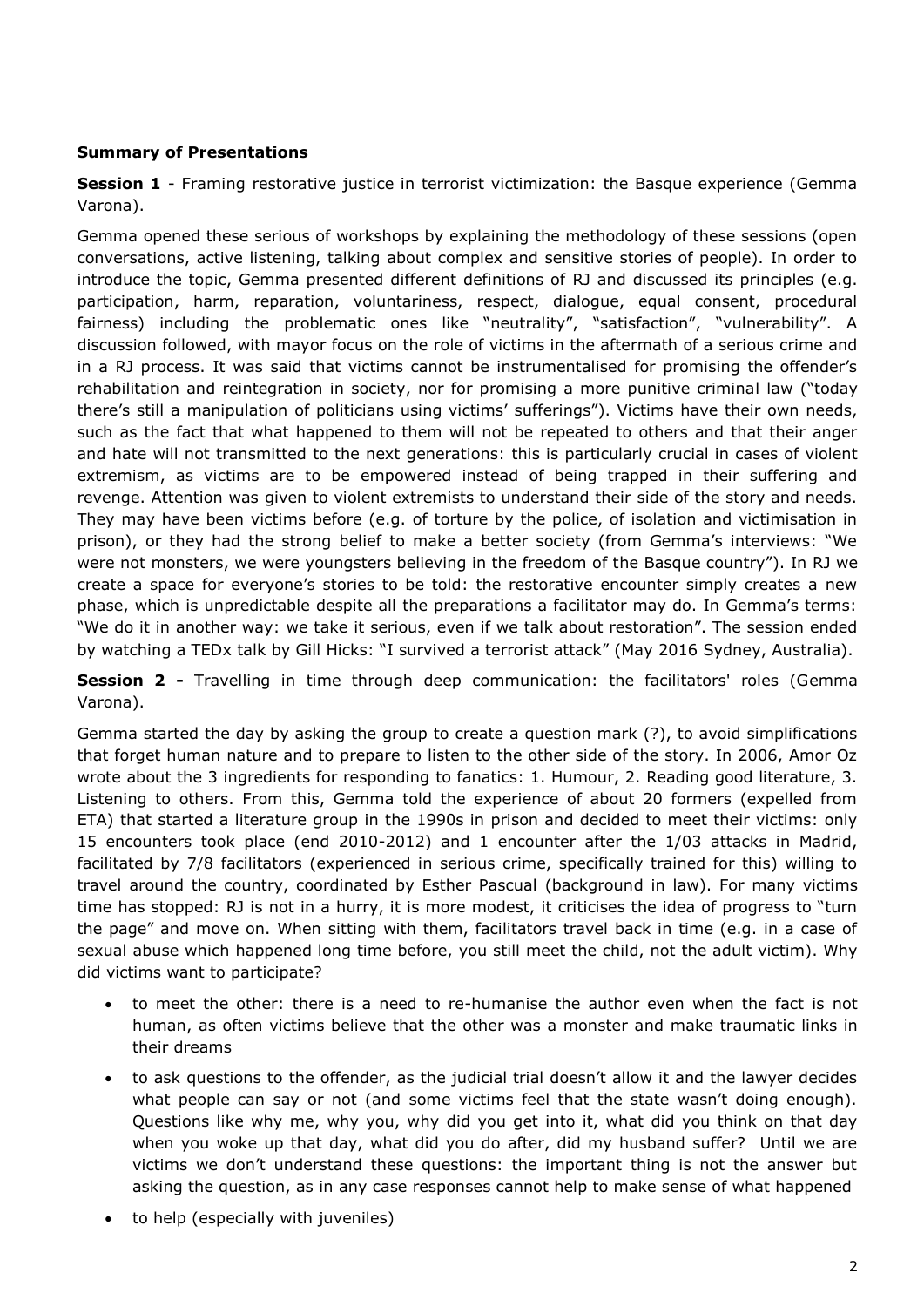## **Summary of Presentations**

**Session 1** - Framing restorative justice in terrorist victimization: the Basque experience (Gemma Varona).

Gemma opened these serious of workshops by explaining the methodology of these sessions (open conversations, active listening, talking about complex and sensitive stories of people). In order to introduce the topic, Gemma presented different definitions of RJ and discussed its principles (e.g. participation, harm, reparation, voluntariness, respect, dialogue, equal consent, procedural fairness) including the problematic ones like "neutrality", "satisfaction", "vulnerability". A discussion followed, with mayor focus on the role of victims in the aftermath of a serious crime and in a RJ process. It was said that victims cannot be instrumentalised for promising the offender's rehabilitation and reintegration in society, nor for promising a more punitive criminal law ("today there's still a manipulation of politicians using victims' sufferings"). Victims have their own needs, such as the fact that what happened to them will not be repeated to others and that their anger and hate will not transmitted to the next generations: this is particularly crucial in cases of violent extremism, as victims are to be empowered instead of being trapped in their suffering and revenge. Attention was given to violent extremists to understand their side of the story and needs. They may have been victims before (e.g. of torture by the police, of isolation and victimisation in prison), or they had the strong belief to make a better society (from Gemma's interviews: "We were not monsters, we were youngsters believing in the freedom of the Basque country"). In RJ we create a space for everyone's stories to be told: the restorative encounter simply creates a new phase, which is unpredictable despite all the preparations a facilitator may do. In Gemma's terms: "We do it in another way: we take it serious, even if we talk about restoration". The session ended by watching a TEDx talk by Gill Hicks: "I survived a terrorist attack" (May 2016 Sydney, Australia).

**Session 2 -** Travelling in time through deep communication: the facilitators' roles (Gemma Varona).

Gemma started the day by asking the group to create a question mark (?), to avoid simplifications that forget human nature and to prepare to listen to the other side of the story. In 2006, Amor Oz wrote about the 3 ingredients for responding to fanatics: 1. Humour, 2. Reading good literature, 3. Listening to others. From this, Gemma told the experience of about 20 formers (expelled from ETA) that started a literature group in the 1990s in prison and decided to meet their victims: only 15 encounters took place (end 2010-2012) and 1 encounter after the 1/03 attacks in Madrid, facilitated by 7/8 facilitators (experienced in serious crime, specifically trained for this) willing to travel around the country, coordinated by Esther Pascual (background in law). For many victims time has stopped: RJ is not in a hurry, it is more modest, it criticises the idea of progress to "turn the page" and move on. When sitting with them, facilitators travel back in time (e.g. in a case of sexual abuse which happened long time before, you still meet the child, not the adult victim). Why did victims want to participate?

- to meet the other: there is a need to re-humanise the author even when the fact is not human, as often victims believe that the other was a monster and make traumatic links in their dreams
- to ask questions to the offender, as the judicial trial doesn't allow it and the lawyer decides what people can say or not (and some victims feel that the state wasn't doing enough). Questions like why me, why you, why did you get into it, what did you think on that day when you woke up that day, what did you do after, did my husband suffer? Until we are victims we don't understand these questions: the important thing is not the answer but asking the question, as in any case responses cannot help to make sense of what happened
- to help (especially with juveniles)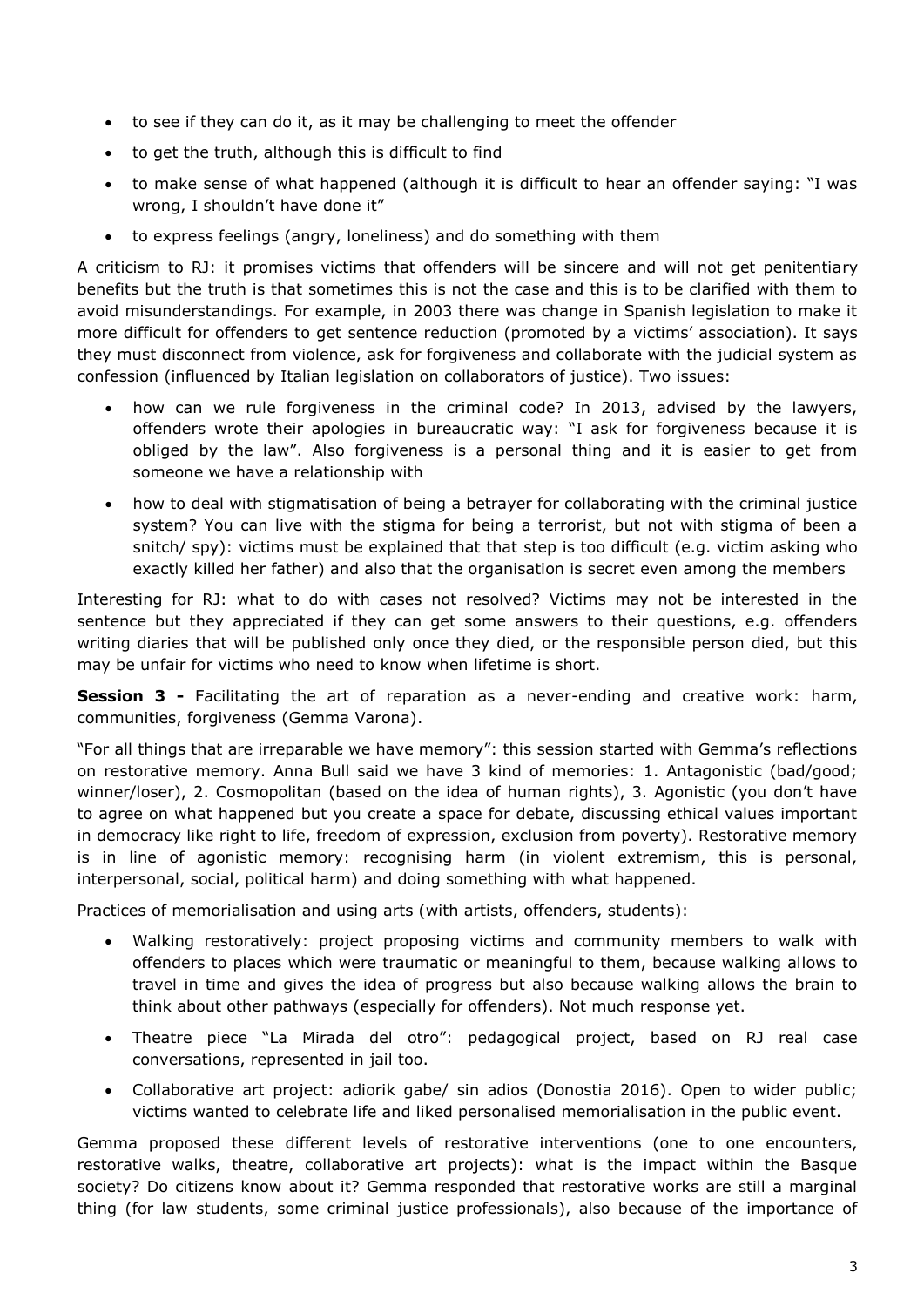- to see if they can do it, as it may be challenging to meet the offender
- to get the truth, although this is difficult to find
- to make sense of what happened (although it is difficult to hear an offender saying: "I was wrong, I shouldn't have done it"
- to express feelings (angry, loneliness) and do something with them

A criticism to RJ: it promises victims that offenders will be sincere and will not get penitentiary benefits but the truth is that sometimes this is not the case and this is to be clarified with them to avoid misunderstandings. For example, in 2003 there was change in Spanish legislation to make it more difficult for offenders to get sentence reduction (promoted by a victims' association). It says they must disconnect from violence, ask for forgiveness and collaborate with the judicial system as confession (influenced by Italian legislation on collaborators of justice). Two issues:

- how can we rule forgiveness in the criminal code? In 2013, advised by the lawyers, offenders wrote their apologies in bureaucratic way: "I ask for forgiveness because it is obliged by the law". Also forgiveness is a personal thing and it is easier to get from someone we have a relationship with
- how to deal with stigmatisation of being a betrayer for collaborating with the criminal justice system? You can live with the stigma for being a terrorist, but not with stigma of been a snitch/ spy): victims must be explained that that step is too difficult (e.g. victim asking who exactly killed her father) and also that the organisation is secret even among the members

Interesting for RJ: what to do with cases not resolved? Victims may not be interested in the sentence but they appreciated if they can get some answers to their questions, e.g. offenders writing diaries that will be published only once they died, or the responsible person died, but this may be unfair for victims who need to know when lifetime is short.

**Session 3 -** Facilitating the art of reparation as a never-ending and creative work: harm, communities, forgiveness (Gemma Varona).

"For all things that are irreparable we have memory": this session started with Gemma's reflections on restorative memory. Anna Bull said we have 3 kind of memories: 1. Antagonistic (bad/good; winner/loser), 2. Cosmopolitan (based on the idea of human rights), 3. Agonistic (you don't have to agree on what happened but you create a space for debate, discussing ethical values important in democracy like right to life, freedom of expression, exclusion from poverty). Restorative memory is in line of agonistic memory: recognising harm (in violent extremism, this is personal, interpersonal, social, political harm) and doing something with what happened.

Practices of memorialisation and using arts (with artists, offenders, students):

- Walking restoratively: project proposing victims and community members to walk with offenders to places which were traumatic or meaningful to them, because walking allows to travel in time and gives the idea of progress but also because walking allows the brain to think about other pathways (especially for offenders). Not much response yet.
- Theatre piece "La Mirada del otro": pedagogical project, based on RJ real case conversations, represented in jail too.
- Collaborative art project: adiorik gabe/ sin adios (Donostia 2016). Open to wider public; victims wanted to celebrate life and liked personalised memorialisation in the public event.

Gemma proposed these different levels of restorative interventions (one to one encounters, restorative walks, theatre, collaborative art projects): what is the impact within the Basque society? Do citizens know about it? Gemma responded that restorative works are still a marginal thing (for law students, some criminal justice professionals), also because of the importance of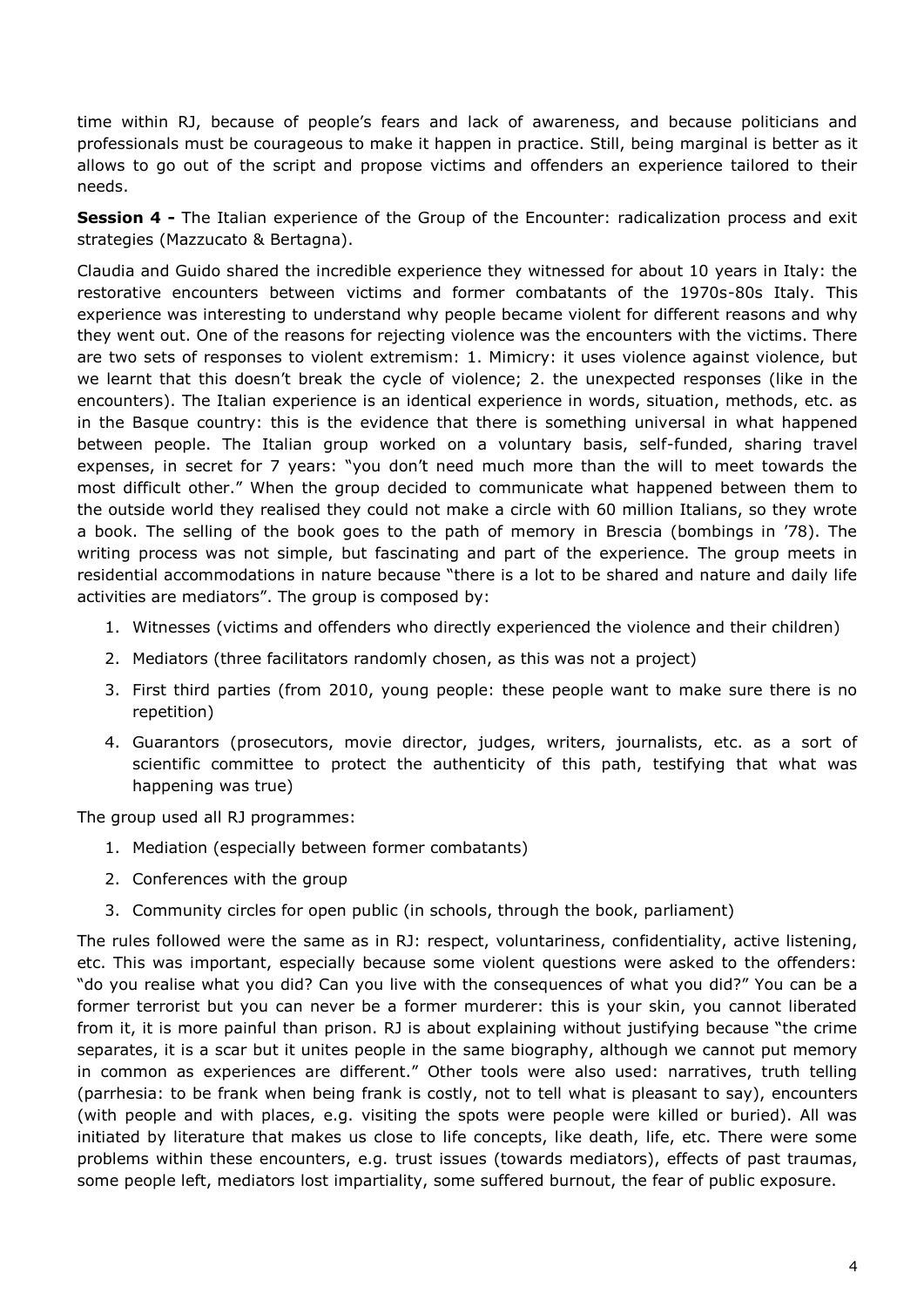time within RJ, because of people's fears and lack of awareness, and because politicians and professionals must be courageous to make it happen in practice. Still, being marginal is better as it allows to go out of the script and propose victims and offenders an experience tailored to their needs.

**Session 4 -** The Italian experience of the Group of the Encounter: radicalization process and exit strategies (Mazzucato & Bertagna).

Claudia and Guido shared the incredible experience they witnessed for about 10 years in Italy: the restorative encounters between victims and former combatants of the 1970s-80s Italy. This experience was interesting to understand why people became violent for different reasons and why they went out. One of the reasons for rejecting violence was the encounters with the victims. There are two sets of responses to violent extremism: 1. Mimicry: it uses violence against violence, but we learnt that this doesn't break the cycle of violence; 2. the unexpected responses (like in the encounters). The Italian experience is an identical experience in words, situation, methods, etc. as in the Basque country: this is the evidence that there is something universal in what happened between people. The Italian group worked on a voluntary basis, self-funded, sharing travel expenses, in secret for 7 years: "you don't need much more than the will to meet towards the most difficult other." When the group decided to communicate what happened between them to the outside world they realised they could not make a circle with 60 million Italians, so they wrote a book. The selling of the book goes to the path of memory in Brescia (bombings in '78). The writing process was not simple, but fascinating and part of the experience. The group meets in residential accommodations in nature because "there is a lot to be shared and nature and daily life activities are mediators". The group is composed by:

- 1. Witnesses (victims and offenders who directly experienced the violence and their children)
- 2. Mediators (three facilitators randomly chosen, as this was not a project)
- 3. First third parties (from 2010, young people: these people want to make sure there is no repetition)
- 4. Guarantors (prosecutors, movie director, judges, writers, journalists, etc. as a sort of scientific committee to protect the authenticity of this path, testifying that what was happening was true)

The group used all RJ programmes:

- 1. Mediation (especially between former combatants)
- 2. Conferences with the group
- 3. Community circles for open public (in schools, through the book, parliament)

The rules followed were the same as in RJ: respect, voluntariness, confidentiality, active listening, etc. This was important, especially because some violent questions were asked to the offenders: "do you realise what you did? Can you live with the consequences of what you did?" You can be a former terrorist but you can never be a former murderer: this is your skin, you cannot liberated from it, it is more painful than prison. RJ is about explaining without justifying because "the crime separates, it is a scar but it unites people in the same biography, although we cannot put memory in common as experiences are different." Other tools were also used: narratives, truth telling (parrhesia: to be frank when being frank is costly, not to tell what is pleasant to say), encounters (with people and with places, e.g. visiting the spots were people were killed or buried). All was initiated by literature that makes us close to life concepts, like death, life, etc. There were some problems within these encounters, e.g. trust issues (towards mediators), effects of past traumas, some people left, mediators lost impartiality, some suffered burnout, the fear of public exposure.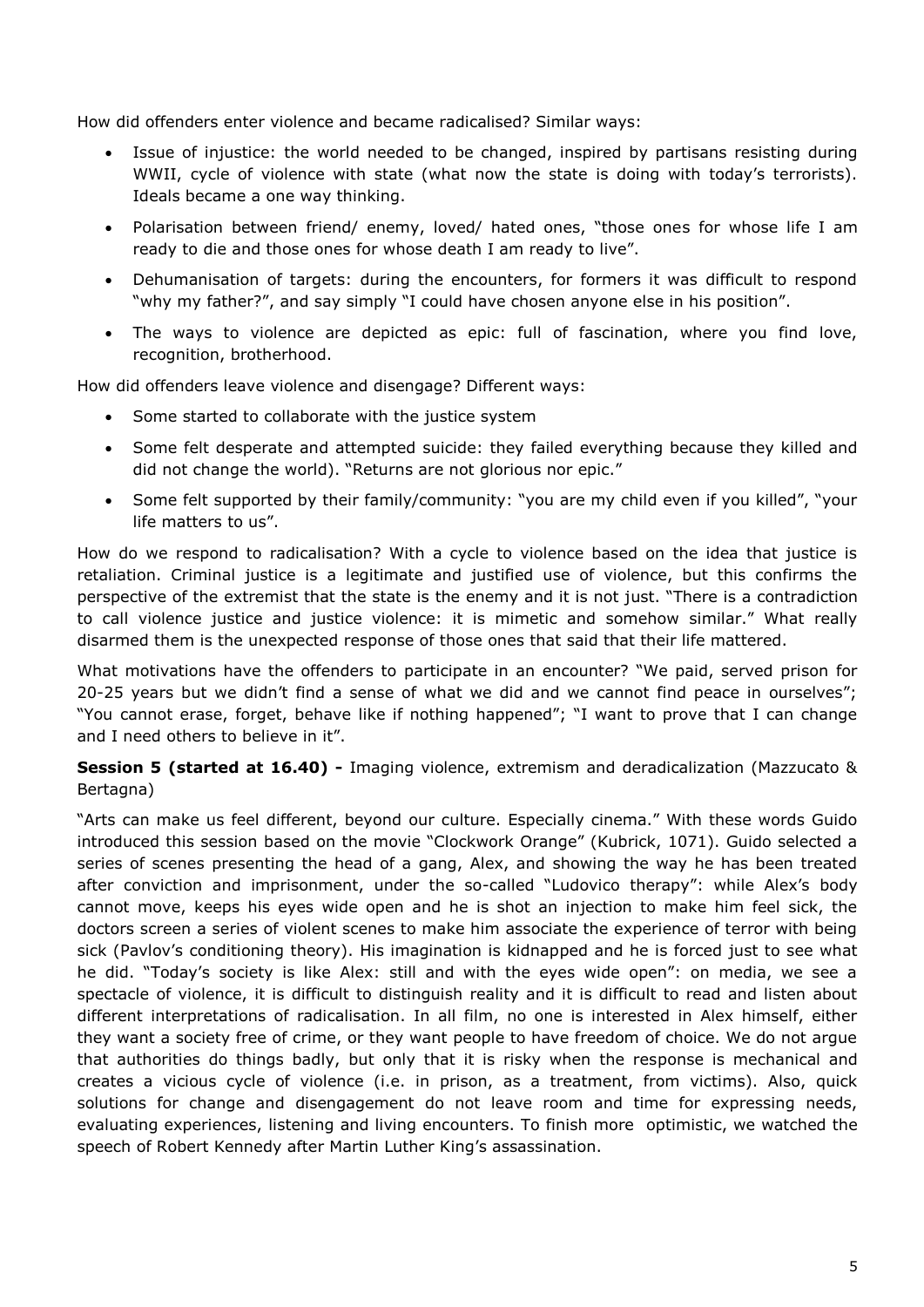How did offenders enter violence and became radicalised? Similar ways:

- Issue of injustice: the world needed to be changed, inspired by partisans resisting during WWII, cycle of violence with state (what now the state is doing with today's terrorists). Ideals became a one way thinking.
- Polarisation between friend/ enemy, loved/ hated ones, "those ones for whose life I am ready to die and those ones for whose death I am ready to live".
- Dehumanisation of targets: during the encounters, for formers it was difficult to respond "why my father?", and say simply "I could have chosen anyone else in his position".
- The ways to violence are depicted as epic: full of fascination, where you find love, recognition, brotherhood.

How did offenders leave violence and disengage? Different ways:

- Some started to collaborate with the justice system
- Some felt desperate and attempted suicide: they failed everything because they killed and did not change the world). "Returns are not glorious nor epic."
- Some felt supported by their family/community: "you are my child even if you killed", "your life matters to us".

How do we respond to radicalisation? With a cycle to violence based on the idea that justice is retaliation. Criminal justice is a legitimate and justified use of violence, but this confirms the perspective of the extremist that the state is the enemy and it is not just. "There is a contradiction to call violence justice and justice violence: it is mimetic and somehow similar." What really disarmed them is the unexpected response of those ones that said that their life mattered.

What motivations have the offenders to participate in an encounter? "We paid, served prison for 20-25 years but we didn't find a sense of what we did and we cannot find peace in ourselves"; "You cannot erase, forget, behave like if nothing happened"; "I want to prove that I can change and I need others to believe in it".

**Session 5 (started at 16.40) -** Imaging violence, extremism and deradicalization (Mazzucato & Bertagna)

"Arts can make us feel different, beyond our culture. Especially cinema." With these words Guido introduced this session based on the movie "Clockwork Orange" (Kubrick, 1071). Guido selected a series of scenes presenting the head of a gang, Alex, and showing the way he has been treated after conviction and imprisonment, under the so-called "Ludovico therapy": while Alex's body cannot move, keeps his eyes wide open and he is shot an injection to make him feel sick, the doctors screen a series of violent scenes to make him associate the experience of terror with being sick (Pavlov's conditioning theory). His imagination is kidnapped and he is forced just to see what he did. "Today's society is like Alex: still and with the eyes wide open": on media, we see a spectacle of violence, it is difficult to distinguish reality and it is difficult to read and listen about different interpretations of radicalisation. In all film, no one is interested in Alex himself, either they want a society free of crime, or they want people to have freedom of choice. We do not argue that authorities do things badly, but only that it is risky when the response is mechanical and creates a vicious cycle of violence (i.e. in prison, as a treatment, from victims). Also, quick solutions for change and disengagement do not leave room and time for expressing needs, evaluating experiences, listening and living encounters. To finish more optimistic, we watched the speech of Robert Kennedy after Martin Luther King's assassination.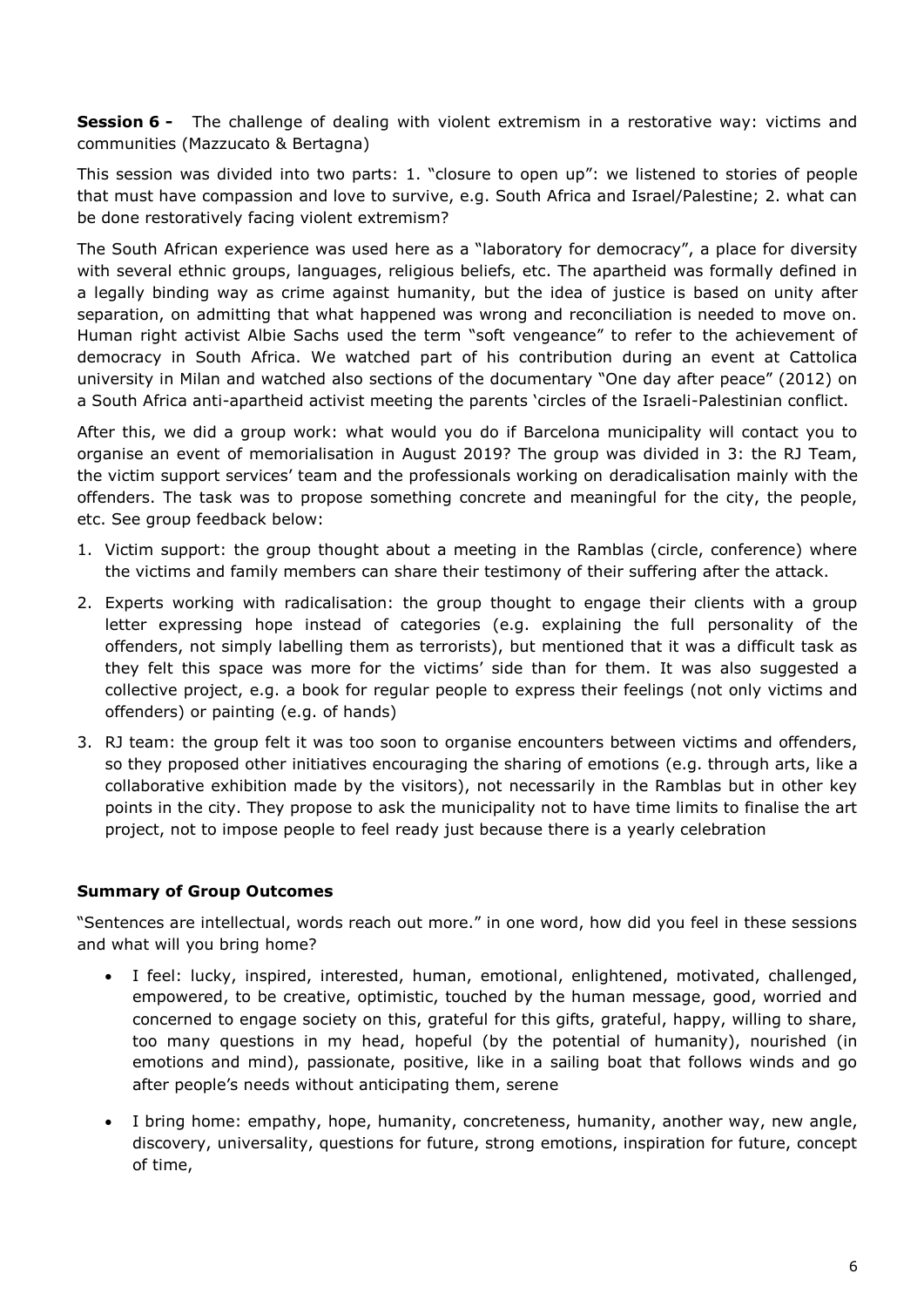**Session 6 -** The challenge of dealing with violent extremism in a restorative way: victims and communities (Mazzucato & Bertagna)

This session was divided into two parts: 1. "closure to open up": we listened to stories of people that must have compassion and love to survive, e.g. South Africa and Israel/Palestine; 2. what can be done restoratively facing violent extremism?

The South African experience was used here as a "laboratory for democracy", a place for diversity with several ethnic groups, languages, religious beliefs, etc. The apartheid was formally defined in a legally binding way as crime against humanity, but the idea of justice is based on unity after separation, on admitting that what happened was wrong and reconciliation is needed to move on. Human right activist Albie Sachs used the term "soft vengeance" to refer to the achievement of democracy in South Africa. We watched part of his contribution during an event at Cattolica university in Milan and watched also sections of the documentary "One day after peace" (2012) on a South Africa anti-apartheid activist meeting the parents 'circles of the Israeli-Palestinian conflict.

After this, we did a group work: what would you do if Barcelona municipality will contact you to organise an event of memorialisation in August 2019? The group was divided in 3: the RJ Team, the victim support services' team and the professionals working on deradicalisation mainly with the offenders. The task was to propose something concrete and meaningful for the city, the people, etc. See group feedback below:

- 1. Victim support: the group thought about a meeting in the Ramblas (circle, conference) where the victims and family members can share their testimony of their suffering after the attack.
- 2. Experts working with radicalisation: the group thought to engage their clients with a group letter expressing hope instead of categories (e.g. explaining the full personality of the offenders, not simply labelling them as terrorists), but mentioned that it was a difficult task as they felt this space was more for the victims' side than for them. It was also suggested a collective project, e.g. a book for regular people to express their feelings (not only victims and offenders) or painting (e.g. of hands)
- 3. RJ team: the group felt it was too soon to organise encounters between victims and offenders, so they proposed other initiatives encouraging the sharing of emotions (e.g. through arts, like a collaborative exhibition made by the visitors), not necessarily in the Ramblas but in other key points in the city. They propose to ask the municipality not to have time limits to finalise the art project, not to impose people to feel ready just because there is a yearly celebration

#### **Summary of Group Outcomes**

"Sentences are intellectual, words reach out more." in one word, how did you feel in these sessions and what will you bring home?

- I feel: lucky, inspired, interested, human, emotional, enlightened, motivated, challenged, empowered, to be creative, optimistic, touched by the human message, good, worried and concerned to engage society on this, grateful for this gifts, grateful, happy, willing to share, too many questions in my head, hopeful (by the potential of humanity), nourished (in emotions and mind), passionate, positive, like in a sailing boat that follows winds and go after people's needs without anticipating them, serene
- I bring home: empathy, hope, humanity, concreteness, humanity, another way, new angle, discovery, universality, questions for future, strong emotions, inspiration for future, concept of time,